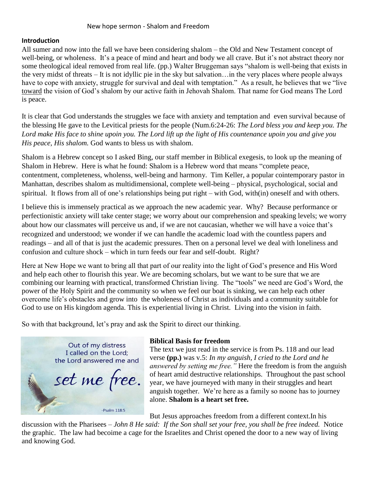## **Introduction**

All sumer and now into the fall we have been considering shalom – the Old and New Testament concept of well-being, or wholeness. It's a peace of mind and heart and body we all crave. But it's not abstract theory nor some theological ideal removed from real life. (pp.) Walter Bruggeman says "shalom is well-being that exists in the very midst of threats – It is not idyllic pie in the sky but salvation…in the very places where people always have to cope with anxiety, struggle for survival and deal with temptation." As a result, he believes that we "live toward the vision of God's shalom by our active faith in Jehovah Shalom. That name for God means The Lord is peace.

It is clear that God understands the struggles we face with anxiety and temptation and even survival because of the blessing He gave to the Levitical priests for the people (Num.6:24-26: *The Lord bless you and keep you. The Lord make His face to shine upoin you. The Lord lift up the light of His countenance upoin you and give you His peace, His shalom.* God wants to bless us with shalom.

Shalom is a Hebrew concept so I asked Bing, our staff member in Biblical exegesis, to look up the meaning of Shalom in Hebrew. Here is what he found: Shalom is a Hebrew word that means "complete peace, contentment, completeness, wholenss, well-being and harmony. Tim Keller, a popular cointemporary pastor in Manhattan, describes shalom as multidimensional, complete well-being – physical, psychological, social and spiritual. It flows from all of one's relationships being put right – with God, with(in) oneself and with others.

I believe this is immensely practical as we approach the new academic year. Why? Because performance or perfectionistic anxiety will take center stage; we worry about our comprehension and speaking levels; we worry about how our classmates will perceive us and, if we are not caucasian, whether we will have a voice that's recognized and understood; we wonder if we can handle the academic load with the countless papers and readings – and all of that is just the academic pressures. Then on a personal level we deal with loneliness and confusion and culture shock – which in turn feeds our fear and self-doubt. Right?

Here at New Hope we want to bring all that part of our reality into the light of God's presence and His Word and help each other to flourish this year. We are becoming scholars, but we want to be sure that we are combining our learning with practical, transformed Christian living. The "tools" we need are God's Word, the power of the Holy Spirit and the community so when we feel our boat is sinking, we can help each other overcome life's obstacles and grow into the wholeness of Christ as individuals and a community suitable for God to use on His kingdom agenda. This is experiential living in Christ. Living into the vision in faith.

So with that background, let's pray and ask the Spirit to direct our thinking.



## **Biblical Basis for freedom**

The text we just read in the service is from Ps. 118 and our lead verse **(pp.)** was v.5: *In my anguish, I cried to the Lord and he answered by setting me free."* Here the freedom is from the anguish of heart amid destructive relationships. Throughout the past school year, we have journeyed with many in their struggles and heart anguish together. We're here as a family so noone has to journey alone. **Shalom is a heart set free.**

But Jesus approaches freedom from a different context.In his

discussion with the Pharisees – *John 8 He said: If the Son shall set your free, you shall be free indeed.* Notice the graphic. The law had becoime a cage for the Israelites and Christ opened the door to a new way of living and knowing God.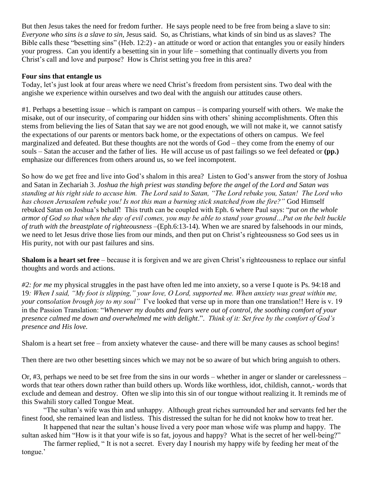But then Jesus takes the need for fredom further. He says people need to be free from being a slave to sin: *Everyone who sins is a slave to sin*, Jesus said. So, as Christians, what kinds of sin bind us as slaves? The Bible calls these "besetting sins" (Heb. 12:2) - an attitude or word or action that entangles you or easily hinders your progress. Can you identify a besetting sin in your life – something that continually diverts you from Christ's call and love and purpose? How is Christ setting you free in this area?

## **Four sins that entangle us**

Today, let's just look at four areas where we need Christ's freedom from persistent sins. Two deal with the angishe we experience within ourselves and two deal with the anguish our attitudes cause others.

#1. Perhaps a besetting issue – which is rampant on campus – is comparing yourself with others. We make the misake, out of our insecurity, of comparing our hidden sins with others' shining accomplishments. Often this stems from believing the lies of Satan that say we are not good enough, we will not make it, we cannot satisfy the expectations of our parents or mentors back home, or the expectations of others on campus. We feel marginalized and defeated. But these thoughts are not the words of God – they come from the enemy of our souls – Satan the accuser and the father of lies. He will accuse us of past failings so we feel defeated or **(pp.)** emphasize our differences from others around us, so we feel incompotent.

So how do we get free and live into God's shalom in this area? Listen to God's answer from the story of Joshua and Satan in Zechariah 3. *Joshua the high priest was standing before the angel of the Lord and Satan was standing at his right side to accuse him. The Lord said to Satan, "The Lord rebuke you, Satan! The Lord who has chosen Jerusalem rebuke you! Is not this man a burning stick snatched from the fire?"* God Himself rebuked Satan on Joshua's behalf! This truth can be coupled with Eph. 6 where Paul says: "*put on the whole armor of God so that when the day of evil comes, you may be able to stand your ground…Put on the belt buckle of truth with the breastplate of righteousness* –(Eph.6:13-14). When we are snared by falsehoods in our minds, we need to let Jesus drive those lies from our minds, and then put on Christ's righteousness so God sees us in His purity, not with our past failures and sins.

**Shalom is a heart set free** – because it is forgiven and we are given Christ's righteousness to replace our sinful thoughts and words and actions.

*#2: for me* my physical struggles in the past have often led me into anxiety, so a verse I quote is Ps. 94:18 and 19*: When I said, "My foot is slipping," your love, O Lord, supported me. When anxiety was great within me, your consolation brough joy to my soul"* I've looked that verse up in more than one translation!! Here is v. 19 in the Passion Translation: "*Whenever my doubts and fears were out of control, the soothing comfort of your presence calmed me down and overwhelmed me with delight*.". *Think of it: Set free by the comfort of God's presence and His love.*

Shalom is a heart set free – from anxiety whatever the cause- and there will be many causes as school begins!

Then there are two other besetting sinces which we may not be so aware of but which bring anguish to others.

Or, #3, perhaps we need to be set free from the sins in our words – whether in anger or slander or carelessness – words that tear others down rather than build others up. Words like worthless, idot, childish, cannot,- words that exclude and demean and destroy. Often we slip into this sin of our tongue without realizing it. It reminds me of this Swahili story called Tongue Meat.

"The sultan's wife was thin and unhappy. Although great riches surrounded her and servants fed her the finest food, she remained lean and listless. This distressed the sultan for he did not knokw how to treat her.

It happened that near the sultan's house lived a very poor man whose wife was plump and happy. The sultan asked him "How is it that your wife is so fat, joyous and happy? What is the secret of her well-being?"

The farmer replied, " It is not a secret. Every day I nourish my happy wife by feeding her meat of the tongue.'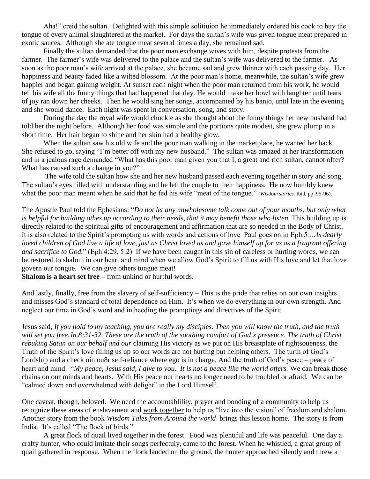Aha!" creid the sultan. Delighted with this simple solitiuion he immediately ordered his cook to buy the tongue of every animal slaughtered at the market. For days the sultan's wife was given tongue meat prepared in exotic sauces. Although she ate tongue meat several times a day, she remained sad.

Finally the sultan demanded that the poor man exchange wives with him, despite protests from the farmer. The farmer's wife was delivered to the palace and the sultan's wife was delivered to the farmer. As soon as the poor man's wife arrived at the palace, she became sad and grew thinner with each passing day. Her happiness and beauty faded like a wilted blossom. At the poor man's home, meanwhile, the sultan's wife grew happier and began gaining weight. At sunset each night when the poor man returned from his work, he would tell his wife all the funny things that had happened that day. He would make her howl with laughter until tears of joy ran down her cheeks. Then he would sing her songs, accompanied by his banjo, until late in the evening and she would dance. Each night was spent in conversation, song, and story.

During the day the royal wife would chuckle as she thought about the funny things her new husband had told her the night before. Although her food was simple and the portions quite modest, she grew plump in a short time. Her hair began to shine and her skin had a healthy glow.

When the sultan saw his old wife and the poor man walking in the marketplace, he wanted her back. She refused to go, saying "I'm better off with my new husband." The sultan was amazed at her transformation and in a jealous rage demanded "What has this poor man given you that I, a great and rich sultan, cannot offer? What has caused such a change in you?"

The wife told the sultan how she and her new husband passed each evening together in story and song. The sultan's eyes filled with understanding and he left the couple to their happiness. He now humbly knew what the poor man meant when he said that he fed his wife "meat of the tongue." (*Wisdom stories*. Ibid, pp. 95-96).

The Apostle Paul told the Ephesians: "*Do not let any unwholesome talk come out of your mouths, but only what is helpful for building othes up according to their needs, that it may benefit those who listen.* This building up is directly related to the spiritual gifts of encouragement and affirmation that are so needed in the Body of Christ. It is also related to the Spirit's prompting us with words and actions of love Paul goes on:in Eph.5*…As dearly loved children of God live a life of love, just as Christ loved us and gave himself up for us as a fragrant offering and sacrifice to God.*" (Eph.4:29, 5:2) If we have been caught in this sin of careless or hurting words, we can be restored to shalom in our heart and mind when we allow God's Spirit to fill us with His love and let that love govern our tongue. We can give others tongue meat!

**Shalom is a heart set free –** from unkind or hurtful words.

And lastly*,* finally, free from the slavery of self-sufficiency – This is the pride that relies on our own insights and misses God's standard of total dependence on Him. It's when we do everything in our own strength. And neglect our time in God's word and in heeding the promptings and directives of the Spirit.

Jesus said, *If you hold to my teaching, you are really my disciples. Then you will know the truth, and the truth will set you free.Jn.8:31-32. These are the truth of the soothing comfort of God's presence. The truth of Christ rebuking Satan on our behalf and our* claiming His victory as we put on His breastplate of rightsoueness, the Truth of the Spirit's love filling us up so our words are not hurting but helping others. The turth of God's Lordship and a check oin ou8r self-reliance where ego is in charge. And the truth of God's peace – peace of heart and mind. "*My peace, Jesus said, I give to you. It is not a peace like the world offers.* We can break those chains on our minds and hearts. With His peace our hearts no longer need to be troubled or afraid. We can be "calmed down and overwhelmed with delight" in the Lord Himself.

One caveat, though, beloved. We need the accountablility, prayer and bonding of a community to help us recognize these areas of enslavement and work together to help us "live into the vision" of freedom and shalom. Another story from the book *Wisdom Tales from Around the world* brings this lesson home. The story is from India. It's called "The flock of birds."

A great flock of quail lived together in the forest. Food was plentiful and life was peaceful. One day a crafty hunter, who could imitate their songs perfectuly, came to the forest. When he whistled, a great group of quail gathered in response. When the flock landed on the ground, the hunter approached silently and threw a